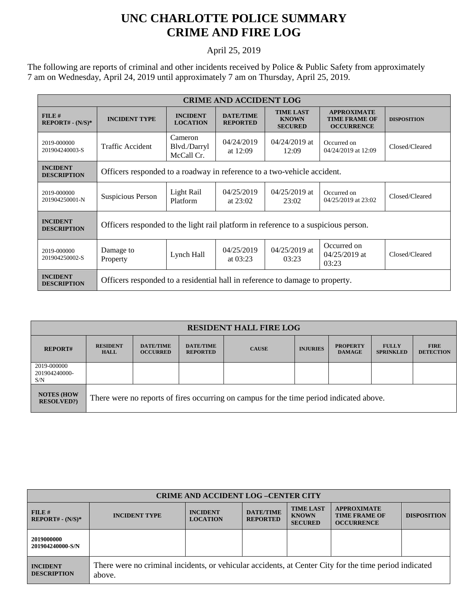## **UNC CHARLOTTE POLICE SUMMARY CRIME AND FIRE LOG**

## April 25, 2019

The following are reports of criminal and other incidents received by Police & Public Safety from approximately 7 am on Wednesday, April 24, 2019 until approximately 7 am on Thursday, April 25, 2019.

| <b>CRIME AND ACCIDENT LOG</b>         |                                                                                    |                                       |                                     |                                                    |                                                                 |                    |  |  |
|---------------------------------------|------------------------------------------------------------------------------------|---------------------------------------|-------------------------------------|----------------------------------------------------|-----------------------------------------------------------------|--------------------|--|--|
| FILE#<br>$REPORT# - (N/S)*$           | <b>INCIDENT TYPE</b>                                                               | <b>INCIDENT</b><br><b>LOCATION</b>    | <b>DATE/TIME</b><br><b>REPORTED</b> | <b>TIME LAST</b><br><b>KNOWN</b><br><b>SECURED</b> | <b>APPROXIMATE</b><br><b>TIME FRAME OF</b><br><b>OCCURRENCE</b> | <b>DISPOSITION</b> |  |  |
| 2019-000000<br>201904240003-S         | Traffic Accident                                                                   | Cameron<br>Blvd./Darryl<br>McCall Cr. | 04/24/2019<br>at $12:09$            | $04/24/2019$ at<br>12:09                           | Occurred on<br>04/24/2019 at 12:09                              | Closed/Cleared     |  |  |
| <b>INCIDENT</b><br><b>DESCRIPTION</b> | Officers responded to a roadway in reference to a two-vehicle accident.            |                                       |                                     |                                                    |                                                                 |                    |  |  |
| 2019-000000<br>201904250001-N         | Suspicious Person                                                                  | Light Rail<br>Platform                | 04/25/2019<br>at $23:02$            | $04/25/2019$ at<br>23:02                           | Occurred on<br>04/25/2019 at 23:02                              | Closed/Cleared     |  |  |
| <b>INCIDENT</b><br><b>DESCRIPTION</b> | Officers responded to the light rail platform in reference to a suspicious person. |                                       |                                     |                                                    |                                                                 |                    |  |  |
| 2019-000000<br>201904250002-S         | Damage to<br>Property                                                              | Lynch Hall                            | 04/25/2019<br>at $03:23$            | $04/25/2019$ at<br>03:23                           | Occurred on<br>$04/25/2019$ at<br>03:23                         | Closed/Cleared     |  |  |
| <b>INCIDENT</b><br><b>DESCRIPTION</b> | Officers responded to a residential hall in reference to damage to property.       |                                       |                                     |                                                    |                                                                 |                    |  |  |

| <b>RESIDENT HALL FIRE LOG</b>           |                                                                                         |                                     |                                     |              |                 |                                  |                                  |                                 |
|-----------------------------------------|-----------------------------------------------------------------------------------------|-------------------------------------|-------------------------------------|--------------|-----------------|----------------------------------|----------------------------------|---------------------------------|
| <b>REPORT#</b>                          | <b>RESIDENT</b><br><b>HALL</b>                                                          | <b>DATE/TIME</b><br><b>OCCURRED</b> | <b>DATE/TIME</b><br><b>REPORTED</b> | <b>CAUSE</b> | <b>INJURIES</b> | <b>PROPERTY</b><br><b>DAMAGE</b> | <b>FULLY</b><br><b>SPRINKLED</b> | <b>FIRE</b><br><b>DETECTION</b> |
| 2019-000000<br>201904240000-<br>S/N     |                                                                                         |                                     |                                     |              |                 |                                  |                                  |                                 |
| <b>NOTES (HOW)</b><br><b>RESOLVED?)</b> | There were no reports of fires occurring on campus for the time period indicated above. |                                     |                                     |              |                 |                                  |                                  |                                 |

| <b>CRIME AND ACCIDENT LOG -CENTER CITY</b> |                                                                                                                  |                                    |                                     |                                                    |                                                                 |                    |  |  |
|--------------------------------------------|------------------------------------------------------------------------------------------------------------------|------------------------------------|-------------------------------------|----------------------------------------------------|-----------------------------------------------------------------|--------------------|--|--|
| FILE#<br>$REPORT# - (N/S)*$                | <b>INCIDENT TYPE</b>                                                                                             | <b>INCIDENT</b><br><b>LOCATION</b> | <b>DATE/TIME</b><br><b>REPORTED</b> | <b>TIME LAST</b><br><b>KNOWN</b><br><b>SECURED</b> | <b>APPROXIMATE</b><br><b>TIME FRAME OF</b><br><b>OCCURRENCE</b> | <b>DISPOSITION</b> |  |  |
| 2019000000<br>201904240000-S/N             |                                                                                                                  |                                    |                                     |                                                    |                                                                 |                    |  |  |
| <b>INCIDENT</b><br><b>DESCRIPTION</b>      | There were no criminal incidents, or vehicular accidents, at Center City for the time period indicated<br>above. |                                    |                                     |                                                    |                                                                 |                    |  |  |